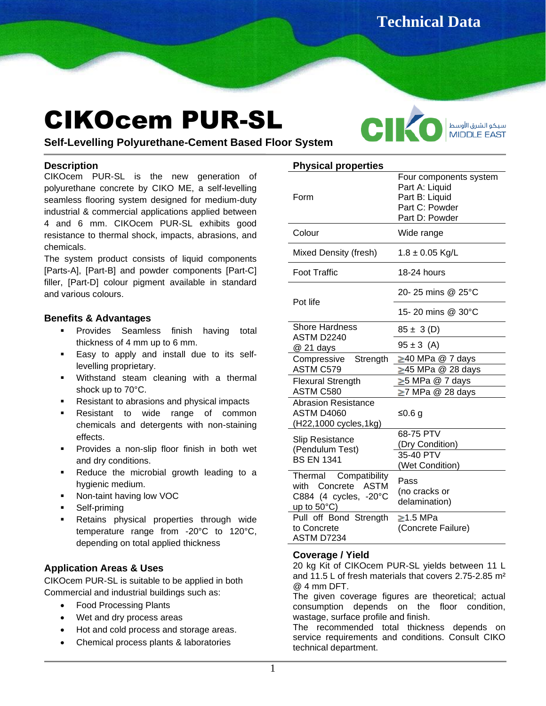**Technical Data** 

# CIKOcem PUR-SL



**Sheet**

**Physical properties**

**Self-Levelling Polyurethane-Cement Based Floor System**

# **Description**

CIKOcem PUR-SL is the new generation of polyurethane concrete by CIKO ME, a self-levelling seamless flooring system designed for medium-duty industrial & commercial applications applied between 4 and 6 mm. CIKOcem PUR-SL exhibits good resistance to thermal shock, impacts, abrasions, and chemicals.

The system product consists of liquid components [Parts-A], [Part-B] and powder components [Part-C] filler, [Part-D] colour pigment available in standard and various colours.

# **Benefits & Advantages**

- **·** Provides Seamless finish having total thickness of 4 mm up to 6 mm.
- **Easy to apply and install due to its self**levelling proprietary.
- Withstand steam cleaning with a thermal shock up to 70°C.
- Resistant to abrasions and physical impacts
- Resistant to wide range of common chemicals and detergents with non-staining effects.
- Provides a non-slip floor finish in both wet and dry conditions.
- Reduce the microbial growth leading to a hygienic medium.
- Non-taint having low VOC
- Self-priming
- Retains physical properties through wide temperature range from -20°C to 120°C, depending on total applied thickness

# **Application Areas & Uses**

CIKOcem PUR-SL is suitable to be applied in both Commercial and industrial buildings such as:

- Food Processing Plants
- Wet and dry process areas
- Hot and cold process and storage areas.
- Chemical process plants & laboratories

| Physical properties                                                      |                                                                                                |
|--------------------------------------------------------------------------|------------------------------------------------------------------------------------------------|
| Form                                                                     | Four components system<br>Part A: Liquid<br>Part B: Liquid<br>Part C: Powder<br>Part D: Powder |
| Colour                                                                   | Wide range                                                                                     |
| Mixed Density (fresh)                                                    | $1.8 \pm 0.05$ Kg/L                                                                            |
| <b>Foot Traffic</b>                                                      | 18-24 hours                                                                                    |
| Pot life                                                                 | 20-25 mins @ 25°C                                                                              |
|                                                                          | 15-20 mins @ 30°C                                                                              |
| Shore Hardness<br>ASTM D2240                                             | $85 \pm 3$ (D)                                                                                 |
| @ 21 days                                                                | $95 \pm 3$ (A)                                                                                 |
| Compressive Strength                                                     | ≥40 MPa @ 7 days                                                                               |
| <b>ASTM C579</b>                                                         | $\geq$ 45 MPa @ 28 days                                                                        |
| <b>Flexural Strength</b>                                                 | ≥5 MPa @ 7 days                                                                                |
| ASTM C580                                                                | $\geq$ 7 MPa @ 28 days                                                                         |
| <b>Abrasion Resistance</b><br><b>ASTM D4060</b><br>(H22,1000 cycles,1kg) | ≤0.6 g                                                                                         |
| <b>Slip Resistance</b>                                                   | 68-75 PTV                                                                                      |
| (Pendulum Test)<br><b>BS EN 1341</b>                                     | (Dry Condition)                                                                                |
|                                                                          | 35-40 PTV                                                                                      |
|                                                                          | (Wet Condition)                                                                                |
| Thermal Compatibility<br>with Concrete ASTM                              | Pass                                                                                           |
| C884 (4 cycles, -20°C                                                    | (no cracks or                                                                                  |
| up to $50^{\circ}$ C)                                                    | delamination)                                                                                  |
| Pull off Bond Strength                                                   | $\geq$ 1.5 MPa                                                                                 |
| to Concrete                                                              | (Concrete Failure)                                                                             |
| ASTM D7234                                                               |                                                                                                |

# **Coverage / Yield**

20 kg Kit of CIKOcem PUR-SL yields between 11 L and 11.5 L of fresh materials that covers 2.75-2.85 m²  $@4$  mm DFT.

The given coverage figures are theoretical; actual consumption depends on the floor condition, wastage, surface profile and finish.

The recommended total thickness depends on service requirements and conditions. Consult CIKO technical department.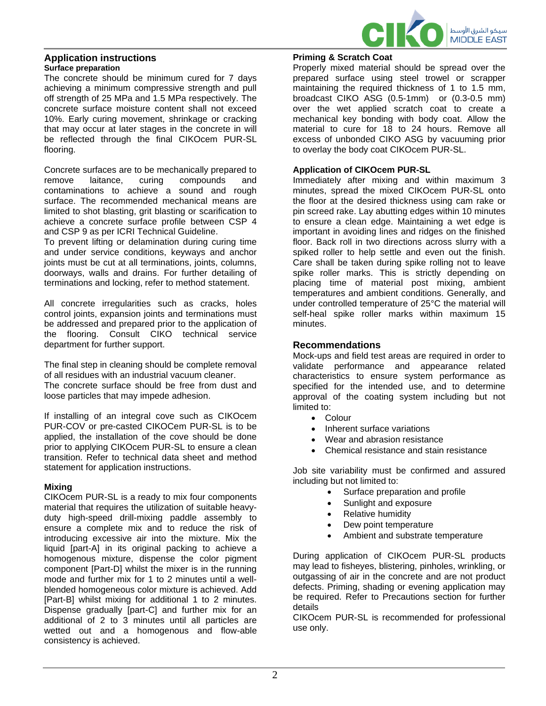

#### **Application instructions Surface preparation**

The concrete should be minimum cured for 7 days achieving a minimum compressive strength and pull off strength of 25 MPa and 1.5 MPa respectively. The concrete surface moisture content shall not exceed 10%. Early curing movement, shrinkage or cracking that may occur at later stages in the concrete in will be reflected through the final CIKOcem PUR-SL flooring.

Concrete surfaces are to be mechanically prepared to remove laitance, curing compounds and contaminations to achieve a sound and rough surface. The recommended mechanical means are limited to shot blasting, grit blasting or scarification to achieve a concrete surface profile between CSP 4 and CSP 9 as per ICRI Technical Guideline.

To prevent lifting or delamination during curing time and under service conditions, keyways and anchor joints must be cut at all terminations, joints, columns, doorways, walls and drains. For further detailing of terminations and locking, refer to method statement.

All concrete irregularities such as cracks, holes control joints, expansion joints and terminations must be addressed and prepared prior to the application of the flooring. Consult CIKO technical service department for further support.

The final step in cleaning should be complete removal of all residues with an industrial vacuum cleaner.

The concrete surface should be free from dust and loose particles that may impede adhesion.

If installing of an integral cove such as CIKOcem PUR-COV or pre-casted CIKOCem PUR-SL is to be applied, the installation of the cove should be done prior to applying CIKOcem PUR-SL to ensure a clean transition. Refer to technical data sheet and method statement for application instructions.

# **Mixing**

CIKOcem PUR-SL is a ready to mix four components material that requires the utilization of suitable heavyduty high-speed drill-mixing paddle assembly to ensure a complete mix and to reduce the risk of introducing excessive air into the mixture. Mix the liquid [part-A] in its original packing to achieve a homogenous mixture, dispense the color pigment component [Part-D] whilst the mixer is in the running mode and further mix for 1 to 2 minutes until a wellblended homogeneous color mixture is achieved. Add [Part-B] whilst mixing for additional 1 to 2 minutes. Dispense gradually [part-C] and further mix for an additional of 2 to 3 minutes until all particles are wetted out and a homogenous and flow-able consistency is achieved.

# **Priming & Scratch Coat**

Properly mixed material should be spread over the prepared surface using steel trowel or scrapper maintaining the required thickness of 1 to 1.5 mm, broadcast CIKO ASG (0.5-1mm) or (0.3-0.5 mm) over the wet applied scratch coat to create a mechanical key bonding with body coat. Allow the material to cure for 18 to 24 hours. Remove all excess of unbonded CIKO ASG by vacuuming prior to overlay the body coat CIKOcem PUR-SL.

# **Application of CIKOcem PUR-SL**

Immediately after mixing and within maximum 3 minutes, spread the mixed CIKOcem PUR-SL onto the floor at the desired thickness using cam rake or pin screed rake. Lay abutting edges within 10 minutes to ensure a clean edge. Maintaining a wet edge is important in avoiding lines and ridges on the finished floor. Back roll in two directions across slurry with a spiked roller to help settle and even out the finish. Care shall be taken during spike rolling not to leave spike roller marks. This is strictly depending on placing time of material post mixing, ambient temperatures and ambient conditions. Generally, and under controlled temperature of 25°C the material will self-heal spike roller marks within maximum 15 minutes.

# **Recommendations**

Mock-ups and field test areas are required in order to validate performance and appearance related characteristics to ensure system performance as specified for the intended use, and to determine approval of the coating system including but not limited to:

- Colour
- Inherent surface variations
- Wear and abrasion resistance
- Chemical resistance and stain resistance

Job site variability must be confirmed and assured including but not limited to:

- Surface preparation and profile
- Sunlight and exposure
- Relative humidity
- Dew point temperature
- Ambient and substrate temperature

During application of CIKOcem PUR-SL products may lead to fisheyes, blistering, pinholes, wrinkling, or outgassing of air in the concrete and are not product defects. Priming, shading or evening application may be required. Refer to Precautions section for further details

CIKOcem PUR-SL is recommended for professional use only.